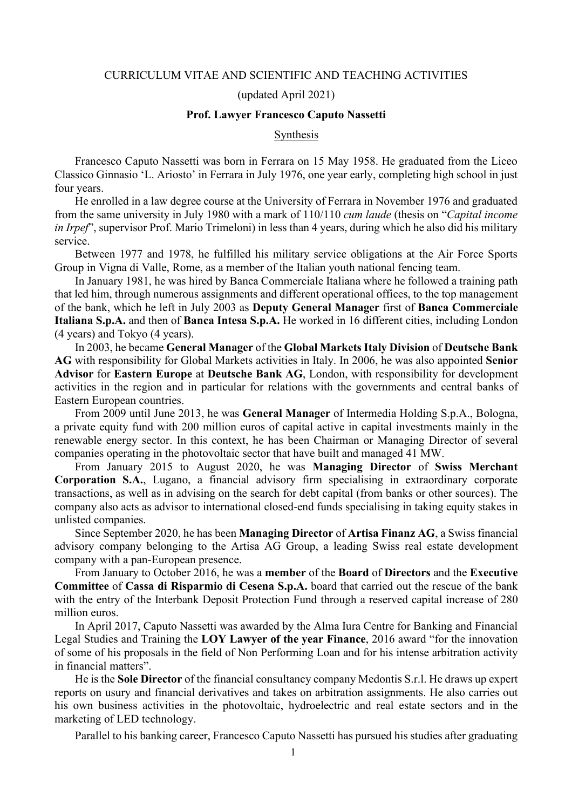CURRICULUM VITAE AND SCIENTIFIC AND TEACHING ACTIVITIES

(updated April 2021)

#### **Prof. Lawyer Francesco Caputo Nassetti**

Synthesis

Francesco Caputo Nassetti was born in Ferrara on 15 May 1958. He graduated from the Liceo Classico Ginnasio 'L. Ariosto' in Ferrara in July 1976, one year early, completing high school in just four years.

He enrolled in a law degree course at the University of Ferrara in November 1976 and graduated from the same university in July 1980 with a mark of 110/110 *cum laude* (thesis on "*Capital income in Irpef*", supervisor Prof. Mario Trimeloni) in less than 4 years, during which he also did his military service.

Between 1977 and 1978, he fulfilled his military service obligations at the Air Force Sports Group in Vigna di Valle, Rome, as a member of the Italian youth national fencing team.

In January 1981, he was hired by Banca Commerciale Italiana where he followed a training path that led him, through numerous assignments and different operational offices, to the top management of the bank, which he left in July 2003 as **Deputy General Manager** first of **Banca Commerciale Italiana S.p.A.** and then of **Banca Intesa S.p.A.** He worked in 16 different cities, including London (4 years) and Tokyo (4 years).

In 2003, he became **General Manager** of the **Global Markets Italy Division** of **Deutsche Bank AG** with responsibility for Global Markets activities in Italy. In 2006, he was also appointed **Senior Advisor** for **Eastern Europe** at **Deutsche Bank AG**, London, with responsibility for development activities in the region and in particular for relations with the governments and central banks of Eastern European countries.

From 2009 until June 2013, he was **General Manager** of Intermedia Holding S.p.A., Bologna, a private equity fund with 200 million euros of capital active in capital investments mainly in the renewable energy sector. In this context, he has been Chairman or Managing Director of several companies operating in the photovoltaic sector that have built and managed 41 MW.

From January 2015 to August 2020, he was **Managing Director** of **Swiss Merchant Corporation S.A.**, Lugano, a financial advisory firm specialising in extraordinary corporate transactions, as well as in advising on the search for debt capital (from banks or other sources). The company also acts as advisor to international closed-end funds specialising in taking equity stakes in unlisted companies.

Since September 2020, he has been **Managing Director** of **Artisa Finanz AG**, a Swiss financial advisory company belonging to the Artisa AG Group, a leading Swiss real estate development company with a pan-European presence.

From January to October 2016, he was a **member** of the **Board** of **Directors** and the **Executive Committee** of **Cassa di Risparmio di Cesena S.p.A.** board that carried out the rescue of the bank with the entry of the Interbank Deposit Protection Fund through a reserved capital increase of 280 million euros.

In April 2017, Caputo Nassetti was awarded by the Alma Iura Centre for Banking and Financial Legal Studies and Training the **LOY Lawyer of the year Finance**, 2016 award "for the innovation of some of his proposals in the field of Non Performing Loan and for his intense arbitration activity in financial matters".

He is the **Sole Director** of the financial consultancy company Medontis S.r.l. He draws up expert reports on usury and financial derivatives and takes on arbitration assignments. He also carries out his own business activities in the photovoltaic, hydroelectric and real estate sectors and in the marketing of LED technology.

Parallel to his banking career, Francesco Caputo Nassetti has pursued his studies after graduating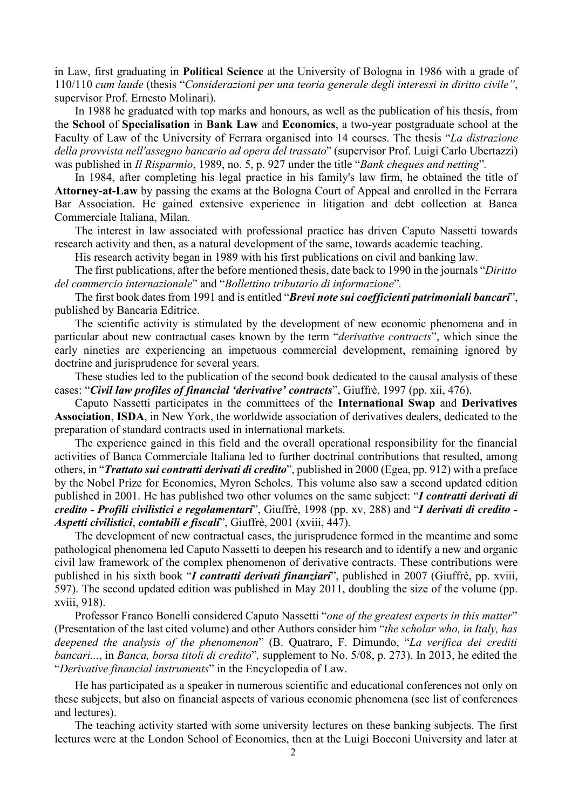in Law, first graduating in **Political Science** at the University of Bologna in 1986 with a grade of 110/110 *cum laude* (thesis "*Considerazioni per una teoria generale degli interessi in diritto civile"*, supervisor Prof. Ernesto Molinari).

In 1988 he graduated with top marks and honours, as well as the publication of his thesis, from the **School** of **Specialisation** in **Bank Law** and **Economics**, a two-year postgraduate school at the Faculty of Law of the University of Ferrara organised into 14 courses. The thesis "*La distrazione della provvista nell'assegno bancario ad opera del trassato*" (supervisor Prof. Luigi Carlo Ubertazzi) was published in *Il Risparmio*, 1989, no. 5, p. 927 under the title "*Bank cheques and netting*"*.*

In 1984, after completing his legal practice in his family's law firm, he obtained the title of **Attorney-at-Law** by passing the exams at the Bologna Court of Appeal and enrolled in the Ferrara Bar Association. He gained extensive experience in litigation and debt collection at Banca Commerciale Italiana, Milan.

The interest in law associated with professional practice has driven Caputo Nassetti towards research activity and then, as a natural development of the same, towards academic teaching.

His research activity began in 1989 with his first publications on civil and banking law.

The first publications, after the before mentioned thesis, date back to 1990 in the journals "*Diritto del commercio internazionale*" and "*Bollettino tributario di informazione*"*.*

The first book dates from 1991 and is entitled "*Brevi note sui coefficienti patrimoniali bancari*", published by Bancaria Editrice.

The scientific activity is stimulated by the development of new economic phenomena and in particular about new contractual cases known by the term "*derivative contracts*", which since the early nineties are experiencing an impetuous commercial development, remaining ignored by doctrine and jurisprudence for several years.

These studies led to the publication of the second book dedicated to the causal analysis of these cases: "*Civil law profiles of financial 'derivative' contracts*", Giuffrè, 1997 (pp. xii, 476).

Caputo Nassetti participates in the committees of the **International Swap** and **Derivatives Association**, **ISDA**, in New York, the worldwide association of derivatives dealers, dedicated to the preparation of standard contracts used in international markets.

The experience gained in this field and the overall operational responsibility for the financial activities of Banca Commerciale Italiana led to further doctrinal contributions that resulted, among others, in "*Trattato sui contratti derivati di credito*", published in 2000 (Egea, pp. 912) with a preface by the Nobel Prize for Economics, Myron Scholes. This volume also saw a second updated edition published in 2001. He has published two other volumes on the same subject: "*I contratti derivati di credito - Profili civilistici e regolamentari*", Giuffrè, 1998 (pp. xv, 288) and "*I derivati di credito - Aspetti civilistici*, *contabili e fiscali*", Giuffrè, 2001 (xviii, 447).

The development of new contractual cases, the jurisprudence formed in the meantime and some pathological phenomena led Caputo Nassetti to deepen his research and to identify a new and organic civil law framework of the complex phenomenon of derivative contracts. These contributions were published in his sixth book "*I contratti derivati finanziari*", published in 2007 (Giuffrè, pp. xviii, 597). The second updated edition was published in May 2011, doubling the size of the volume (pp. xviii, 918).

Professor Franco Bonelli considered Caputo Nassetti "*one of the greatest experts in this matter*" (Presentation of the last cited volume) and other Authors consider him "*the scholar who, in Italy, has deepened the analysis of the phenomenon*" (B. Quatraro, F. Dimundo, "*La verifica dei crediti bancari...*, in *Banca, borsa titoli di credito*"*,* supplement to No. 5/08, p. 273). In 2013, he edited the "*Derivative financial instruments*" in the Encyclopedia of Law.

He has participated as a speaker in numerous scientific and educational conferences not only on these subjects, but also on financial aspects of various economic phenomena (see list of conferences and lectures).

The teaching activity started with some university lectures on these banking subjects. The first lectures were at the London School of Economics, then at the Luigi Bocconi University and later at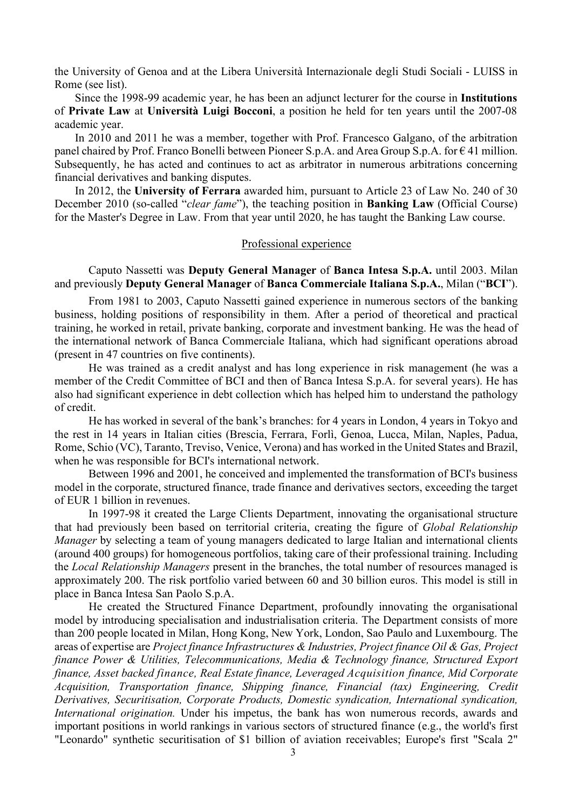the University of Genoa and at the Libera Università Internazionale degli Studi Sociali - LUISS in Rome (see list).

Since the 1998-99 academic year, he has been an adjunct lecturer for the course in **Institutions**  of **Private Law** at **Università Luigi Bocconi**, a position he held for ten years until the 2007-08 academic year.

In 2010 and 2011 he was a member, together with Prof. Francesco Galgano, of the arbitration panel chaired by Prof. Franco Bonelli between Pioneer S.p.A. and Area Group S.p.A. for € 41 million. Subsequently, he has acted and continues to act as arbitrator in numerous arbitrations concerning financial derivatives and banking disputes.

In 2012, the **University of Ferrara** awarded him, pursuant to Article 23 of Law No. 240 of 30 December 2010 (so-called "*clear fame*"), the teaching position in **Banking Law** (Official Course) for the Master's Degree in Law. From that year until 2020, he has taught the Banking Law course.

#### Professional experience

Caputo Nassetti was **Deputy General Manager** of **Banca Intesa S.p.A.** until 2003. Milan and previously **Deputy General Manager** of **Banca Commerciale Italiana S.p.A.**, Milan ("**BCI**").

From 1981 to 2003, Caputo Nassetti gained experience in numerous sectors of the banking business, holding positions of responsibility in them. After a period of theoretical and practical training, he worked in retail, private banking, corporate and investment banking. He was the head of the international network of Banca Commerciale Italiana, which had significant operations abroad (present in 47 countries on five continents).

He was trained as a credit analyst and has long experience in risk management (he was a member of the Credit Committee of BCI and then of Banca Intesa S.p.A. for several years). He has also had significant experience in debt collection which has helped him to understand the pathology of credit.

He has worked in several of the bank's branches: for 4 years in London, 4 years in Tokyo and the rest in 14 years in Italian cities (Brescia, Ferrara, Forlì, Genoa, Lucca, Milan, Naples, Padua, Rome, Schio (VC), Taranto, Treviso, Venice, Verona) and has worked in the United States and Brazil, when he was responsible for BCI's international network.

Between 1996 and 2001, he conceived and implemented the transformation of BCI's business model in the corporate, structured finance, trade finance and derivatives sectors, exceeding the target of EUR 1 billion in revenues.

In 1997-98 it created the Large Clients Department, innovating the organisational structure that had previously been based on territorial criteria, creating the figure of *Global Relationship Manager* by selecting a team of young managers dedicated to large Italian and international clients (around 400 groups) for homogeneous portfolios, taking care of their professional training. Including the *Local Relationship Managers* present in the branches, the total number of resources managed is approximately 200. The risk portfolio varied between 60 and 30 billion euros. This model is still in place in Banca Intesa San Paolo S.p.A.

He created the Structured Finance Department, profoundly innovating the organisational model by introducing specialisation and industrialisation criteria. The Department consists of more than 200 people located in Milan, Hong Kong, New York, London, Sao Paulo and Luxembourg. The areas of expertise are *Project finance Infrastructures & Industries, Project finance Oil & Gas, Project finance Power & Utilities, Telecommunications, Media & Technology finance, Structured Export finance, Asset backed finance, Real Estate finance, Leveraged Acquisition finance, Mid Corporate Acquisition, Transportation finance, Shipping finance, Financial (tax) Engineering, Credit Derivatives, Securitisation, Corporate Products, Domestic syndication, International syndication, International origination.* Under his impetus, the bank has won numerous records, awards and important positions in world rankings in various sectors of structured finance (e.g., the world's first "Leonardo" synthetic securitisation of \$1 billion of aviation receivables; Europe's first "Scala 2"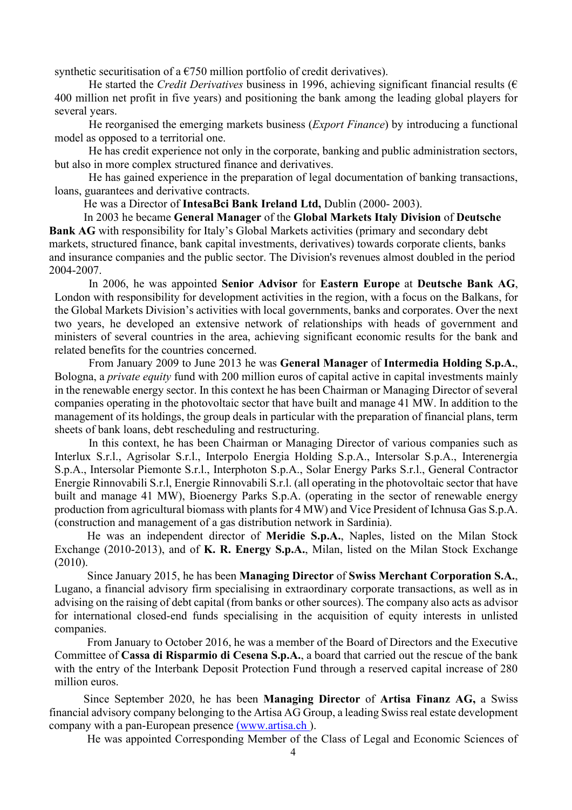synthetic securitisation of a  $\epsilon$ 750 million portfolio of credit derivatives).

He started the *Credit Derivatives* business in 1996, achieving significant financial results (€ 400 million net profit in five years) and positioning the bank among the leading global players for several years.

He reorganised the emerging markets business (*Export Finance*) by introducing a functional model as opposed to a territorial one.

He has credit experience not only in the corporate, banking and public administration sectors, but also in more complex structured finance and derivatives.

He has gained experience in the preparation of legal documentation of banking transactions, loans, guarantees and derivative contracts.

He was a Director of **IntesaBci Bank Ireland Ltd,** Dublin (2000- 2003).

In 2003 he became **General Manager** of the **Global Markets Italy Division** of **Deutsche Bank AG** with responsibility for Italy's Global Markets activities (primary and secondary debt markets, structured finance, bank capital investments, derivatives) towards corporate clients, banks and insurance companies and the public sector. The Division's revenues almost doubled in the period 2004-2007.

In 2006, he was appointed **Senior Advisor** for **Eastern Europe** at **Deutsche Bank AG**, London with responsibility for development activities in the region, with a focus on the Balkans, for the Global Markets Division's activities with local governments, banks and corporates. Over the next two years, he developed an extensive network of relationships with heads of government and ministers of several countries in the area, achieving significant economic results for the bank and related benefits for the countries concerned.

From January 2009 to June 2013 he was **General Manager** of **Intermedia Holding S.p.A.**, Bologna, a *private equity* fund with 200 million euros of capital active in capital investments mainly in the renewable energy sector. In this context he has been Chairman or Managing Director of several companies operating in the photovoltaic sector that have built and manage 41 MW. In addition to the management of its holdings, the group deals in particular with the preparation of financial plans, term sheets of bank loans, debt rescheduling and restructuring.

In this context, he has been Chairman or Managing Director of various companies such as Interlux S.r.l., Agrisolar S.r.l., Interpolo Energia Holding S.p.A., Intersolar S.p.A., Interenergia S.p.A., Intersolar Piemonte S.r.l., Interphoton S.p.A., Solar Energy Parks S.r.l., General Contractor Energie Rinnovabili S.r.l, Energie Rinnovabili S.r.l. (all operating in the photovoltaic sector that have built and manage 41 MW), Bioenergy Parks S.p.A. (operating in the sector of renewable energy production from agricultural biomass with plants for 4 MW) and Vice President of Ichnusa Gas S.p.A. (construction and management of a gas distribution network in Sardinia).

He was an independent director of **Meridie S.p.A.**, Naples, listed on the Milan Stock Exchange (2010-2013), and of **K. R. Energy S.p.A.**, Milan, listed on the Milan Stock Exchange (2010).

Since January 2015, he has been **Managing Director** of **Swiss Merchant Corporation S.A.**, Lugano, a financial advisory firm specialising in extraordinary corporate transactions, as well as in advising on the raising of debt capital (from banks or other sources). The company also acts as advisor for international closed-end funds specialising in the acquisition of equity interests in unlisted companies.

From January to October 2016, he was a member of the Board of Directors and the Executive Committee of **Cassa di Risparmio di Cesena S.p.A.**, a board that carried out the rescue of the bank with the entry of the Interbank Deposit Protection Fund through a reserved capital increase of 280 million euros.

Since September 2020, he has been **Managing Director** of **Artisa Finanz AG,** a Swiss financial advisory company belonging to the Artisa AG Group, a leading Swiss real estate development company with a pan-European presence [\(www.artisa.ch \)](http://www.artisa.ch/).

He was appointed Corresponding Member of the Class of Legal and Economic Sciences of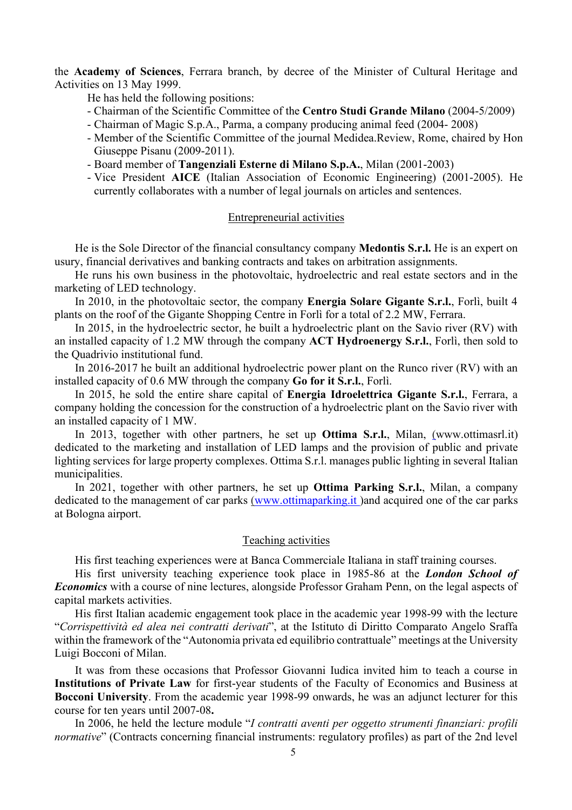the **Academy of Sciences**, Ferrara branch, by decree of the Minister of Cultural Heritage and Activities on 13 May 1999.

He has held the following positions:

- Chairman of the Scientific Committee of the **Centro Studi Grande Milano** (2004-5/2009)
- Chairman of Magic S.p.A., Parma, a company producing animal feed (2004- 2008)
- Member of the Scientific Committee of the journal Medidea.Review, Rome, chaired by Hon Giuseppe Pisanu (2009-2011).
- Board member of **Tangenziali Esterne di Milano S.p.A.**, Milan (2001-2003)
- Vice President **AICE** (Italian Association of Economic Engineering) (2001-2005). He currently collaborates with a number of legal journals on articles and sentences.

## Entrepreneurial activities

He is the Sole Director of the financial consultancy company **Medontis S.r.l.** He is an expert on usury, financial derivatives and banking contracts and takes on arbitration assignments.

He runs his own business in the photovoltaic, hydroelectric and real estate sectors and in the marketing of LED technology.

In 2010, in the photovoltaic sector, the company **Energia Solare Gigante S.r.l.**, Forlì, built 4 plants on the roof of the Gigante Shopping Centre in Forlì for a total of 2.2 MW, Ferrara.

In 2015, in the hydroelectric sector, he built a hydroelectric plant on the Savio river (RV) with an installed capacity of 1.2 MW through the company **ACT Hydroenergy S.r.l.**, Forlì, then sold to the Quadrivio institutional fund.

In 2016-2017 he built an additional hydroelectric power plant on the Runco river (RV) with an installed capacity of 0.6 MW through the company **Go for it S.r.l.**, Forlì.

In 2015, he sold the entire share capital of **Energia Idroelettrica Gigante S.r.l.**, Ferrara, a company holding the concession for the construction of a hydroelectric plant on the Savio river with an installed capacity of 1 MW.

In 2013, together with other partners, he set up **Ottima S.r.l.**, Milan, (www.ottimasrl.it) dedicated to the marketing and installation of LED lamps and the provision of public and private lighting services for large property complexes. Ottima S.r.l. manages public lighting in several Italian municipalities.

In 2021, together with other partners, he set up **Ottima Parking S.r.l.**, Milan, a company dedicated to the management of car parks [\(www.ottimaparking.it \)](http://www.ottimaparking.it/)and acquired one of the car parks at Bologna airport.

## Teaching activities

His first teaching experiences were at Banca Commerciale Italiana in staff training courses.

His first university teaching experience took place in 1985-86 at the *London School of Economics* with a course of nine lectures, alongside Professor Graham Penn, on the legal aspects of capital markets activities.

His first Italian academic engagement took place in the academic year 1998-99 with the lecture "*Corrispettività ed alea nei contratti derivati*", at the Istituto di Diritto Comparato Angelo Sraffa within the framework of the "Autonomia privata ed equilibrio contrattuale" meetings at the University Luigi Bocconi of Milan.

It was from these occasions that Professor Giovanni Iudica invited him to teach a course in **Institutions of Private Law** for first-year students of the Faculty of Economics and Business at **Bocconi University**. From the academic year 1998-99 onwards, he was an adjunct lecturer for this course for ten years until 2007-08**.**

In 2006, he held the lecture module "*I contratti aventi per oggetto strumenti finanziari: profili normative*" (Contracts concerning financial instruments: regulatory profiles) as part of the 2nd level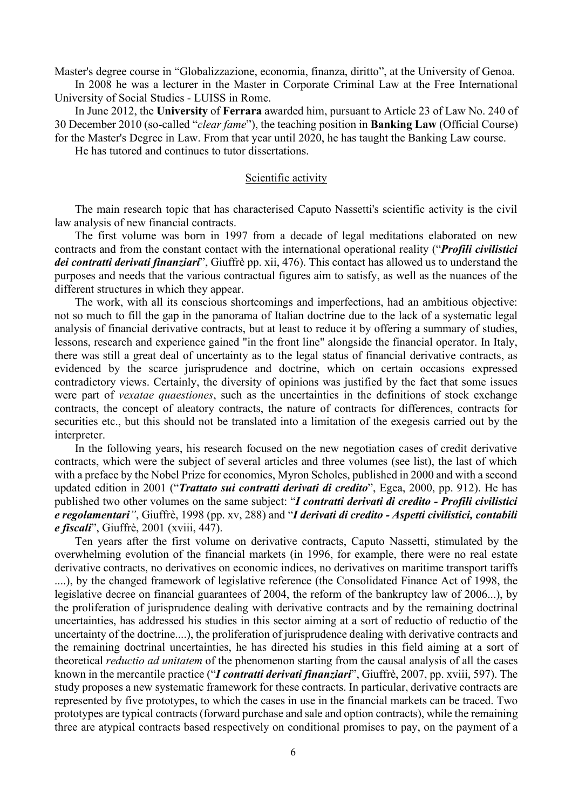Master's degree course in "Globalizzazione, economia, finanza, diritto", at the University of Genoa.

In 2008 he was a lecturer in the Master in Corporate Criminal Law at the Free International University of Social Studies - LUISS in Rome.

In June 2012, the **University** of **Ferrara** awarded him, pursuant to Article 23 of Law No. 240 of 30 December 2010 (so-called "*clear fame*"), the teaching position in **Banking Law** (Official Course) for the Master's Degree in Law. From that year until 2020, he has taught the Banking Law course.

He has tutored and continues to tutor dissertations.

## Scientific activity

The main research topic that has characterised Caputo Nassetti's scientific activity is the civil law analysis of new financial contracts.

The first volume was born in 1997 from a decade of legal meditations elaborated on new contracts and from the constant contact with the international operational reality ("*Profili civilistici dei contratti derivati finanziari*", Giuffrè pp. xii, 476). This contact has allowed us to understand the purposes and needs that the various contractual figures aim to satisfy, as well as the nuances of the different structures in which they appear.

The work, with all its conscious shortcomings and imperfections, had an ambitious objective: not so much to fill the gap in the panorama of Italian doctrine due to the lack of a systematic legal analysis of financial derivative contracts, but at least to reduce it by offering a summary of studies, lessons, research and experience gained "in the front line" alongside the financial operator. In Italy, there was still a great deal of uncertainty as to the legal status of financial derivative contracts, as evidenced by the scarce jurisprudence and doctrine, which on certain occasions expressed contradictory views. Certainly, the diversity of opinions was justified by the fact that some issues were part of *vexatae quaestiones*, such as the uncertainties in the definitions of stock exchange contracts, the concept of aleatory contracts, the nature of contracts for differences, contracts for securities etc., but this should not be translated into a limitation of the exegesis carried out by the interpreter.

In the following years, his research focused on the new negotiation cases of credit derivative contracts, which were the subject of several articles and three volumes (see list), the last of which with a preface by the Nobel Prize for economics, Myron Scholes, published in 2000 and with a second updated edition in 2001 ("*Trattato sui contratti derivati di credito*", Egea, 2000, pp. 912). He has published two other volumes on the same subject: "*I contratti derivati di credito - Profili civilistici e regolamentari"*, Giuffrè, 1998 (pp. xv, 288) and "*I derivati di credito - Aspetti civilistici, contabili e fiscali*", Giuffrè, 2001 (xviii, 447).

Ten years after the first volume on derivative contracts, Caputo Nassetti, stimulated by the overwhelming evolution of the financial markets (in 1996, for example, there were no real estate derivative contracts, no derivatives on economic indices, no derivatives on maritime transport tariffs ....), by the changed framework of legislative reference (the Consolidated Finance Act of 1998, the legislative decree on financial guarantees of 2004, the reform of the bankruptcy law of 2006...), by the proliferation of jurisprudence dealing with derivative contracts and by the remaining doctrinal uncertainties, has addressed his studies in this sector aiming at a sort of reductio of reductio of the uncertainty of the doctrine....), the proliferation of jurisprudence dealing with derivative contracts and the remaining doctrinal uncertainties, he has directed his studies in this field aiming at a sort of theoretical *reductio ad unitatem* of the phenomenon starting from the causal analysis of all the cases known in the mercantile practice ("*I contratti derivati finanziari*", Giuffrè, 2007, pp. xviii, 597). The study proposes a new systematic framework for these contracts. In particular, derivative contracts are represented by five prototypes, to which the cases in use in the financial markets can be traced. Two prototypes are typical contracts (forward purchase and sale and option contracts), while the remaining three are atypical contracts based respectively on conditional promises to pay, on the payment of a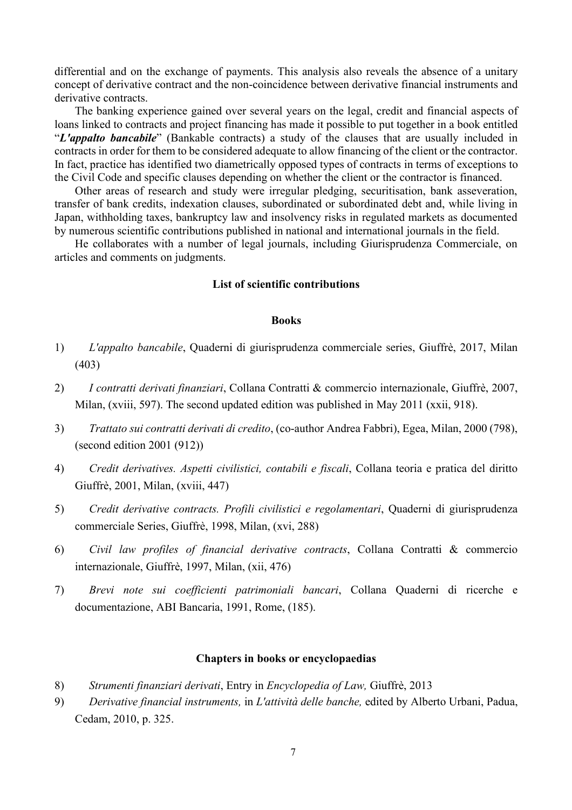differential and on the exchange of payments. This analysis also reveals the absence of a unitary concept of derivative contract and the non-coincidence between derivative financial instruments and derivative contracts.

The banking experience gained over several years on the legal, credit and financial aspects of loans linked to contracts and project financing has made it possible to put together in a book entitled "*L'appalto bancabile*" (Bankable contracts) a study of the clauses that are usually included in contracts in order for them to be considered adequate to allow financing of the client or the contractor. In fact, practice has identified two diametrically opposed types of contracts in terms of exceptions to the Civil Code and specific clauses depending on whether the client or the contractor is financed.

Other areas of research and study were irregular pledging, securitisation, bank asseveration, transfer of bank credits, indexation clauses, subordinated or subordinated debt and, while living in Japan, withholding taxes, bankruptcy law and insolvency risks in regulated markets as documented by numerous scientific contributions published in national and international journals in the field.

He collaborates with a number of legal journals, including Giurisprudenza Commerciale, on articles and comments on judgments.

## **List of scientific contributions**

#### **Books**

- 1) *L'appalto bancabile*, Quaderni di giurisprudenza commerciale series, Giuffrè, 2017, Milan (403)
- 2) *I contratti derivati finanziari*, Collana Contratti & commercio internazionale, Giuffrè, 2007, Milan, (xviii, 597). The second updated edition was published in May 2011 (xxii, 918).
- 3) *Trattato sui contratti derivati di credito*, (co-author Andrea Fabbri), Egea, Milan, 2000 (798), (second edition 2001 (912))
- 4) *Credit derivatives. Aspetti civilistici, contabili e fiscali*, Collana teoria e pratica del diritto Giuffrè, 2001, Milan, (xviii, 447)
- 5) *Credit derivative contracts. Profili civilistici e regolamentari*, Quaderni di giurisprudenza commerciale Series, Giuffrè, 1998, Milan, (xvi, 288)
- 6) *Civil law profiles of financial derivative contracts*, Collana Contratti & commercio internazionale, Giuffrè, 1997, Milan, (xii, 476)
- 7) *Brevi note sui coefficienti patrimoniali bancari*, Collana Quaderni di ricerche e documentazione, ABI Bancaria, 1991, Rome, (185).

#### **Chapters in books or encyclopaedias**

- 8) *Strumenti finanziari derivati*, Entry in *Encyclopedia of Law,* Giuffrè, 2013
- 9) *Derivative financial instruments,* in *L'attività delle banche,* edited by Alberto Urbani, Padua, Cedam, 2010, p. 325.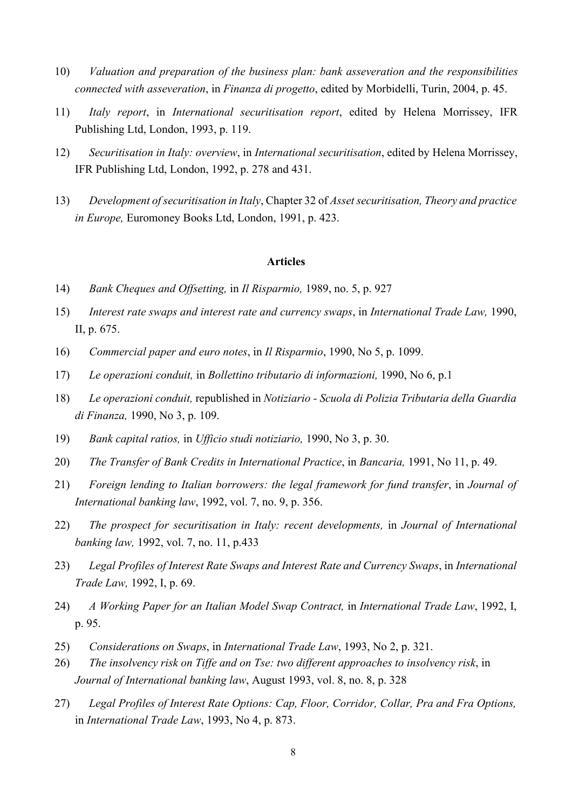- 10) *Valuation and preparation of the business plan: bank asseveration and the responsibilities connected with asseveration*, in *Finanza di progetto*, edited by Morbidelli, Turin, 2004, p. 45.
- 11) *Italy report*, in *International securitisation report*, edited by Helena Morrissey, IFR Publishing Ltd, London, 1993, p. 119.
- 12) *Securitisation in Italy: overview*, in *International securitisation*, edited by Helena Morrissey, IFR Publishing Ltd, London, 1992, p. 278 and 431.
- 13) *Development of securitisation in Italy*, Chapter 32 of *Asset securitisation, Theory and practice in Europe,* Euromoney Books Ltd, London, 1991, p. 423.

#### **Articles**

- 14) *Bank Cheques and Offsetting,* in *Il Risparmio,* 1989, no. 5, p. 927
- 15) *Interest rate swaps and interest rate and currency swaps*, in *International Trade Law,* 1990, II, p. 675.
- 16) *Commercial paper and euro notes*, in *Il Risparmio*, 1990, No 5, p. 1099.
- 17) *Le operazioni conduit,* in *Bollettino tributario di informazioni,* 1990, No 6, p.1
- 18) *Le operazioni conduit,* republished in *Notiziario - Scuola di Polizia Tributaria della Guardia di Finanza,* 1990, No 3, p. 109.
- 19) *Bank capital ratios,* in *Ufficio studi notiziario,* 1990, No 3, p. 30.
- 20) *The Transfer of Bank Credits in International Practice*, in *Bancaria,* 1991, No 11, p. 49.
- 21) *Foreign lending to Italian borrowers: the legal framework for fund transfer*, in *Journal of International banking law*, 1992, vol. 7, no. 9, p. 356.
- 22) *The prospect for securitisation in Italy: recent developments,* in *Journal of International banking law,* 1992, vol. 7, no. 11, p.433
- 23) *Legal Profiles of Interest Rate Swaps and Interest Rate and Currency Swaps*, in *International Trade Law,* 1992, I, p. 69.
- 24) *A Working Paper for an Italian Model Swap Contract,* in *International Trade Law*, 1992, I, p. 95.
- 25) *Considerations on Swaps*, in *International Trade Law*, 1993, No 2, p. 321.
- 26) *The insolvency risk on Tiffe and on Tse: two different approaches to insolvency risk*, in *Journal of International banking law*, August 1993, vol. 8, no. 8, p. 328
- 27) *Legal Profiles of Interest Rate Options: Cap, Floor, Corridor, Collar, Pra and Fra Options,*  in *International Trade Law*, 1993, No 4, p. 873.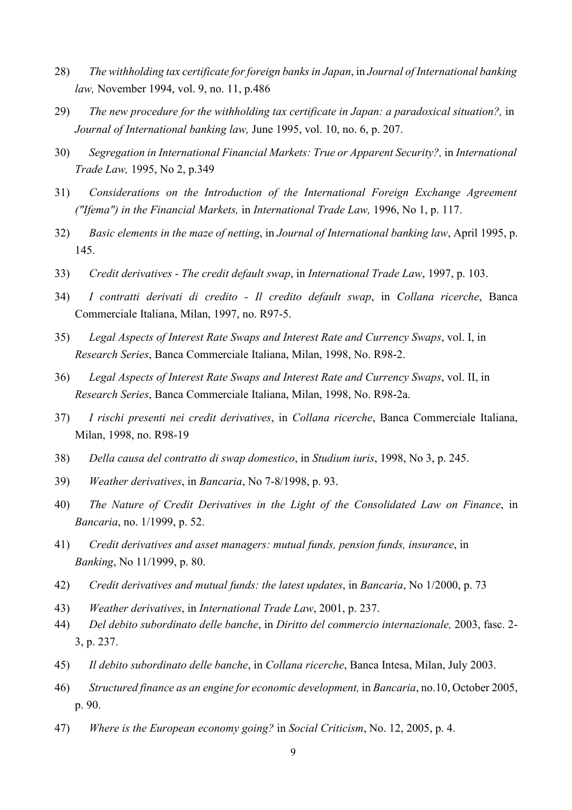- 28) *The withholding tax certificate for foreign banks in Japan*, in *Journal of International banking law,* November 1994, vol. 9, no. 11, p.486
- 29) *The new procedure for the withholding tax certificate in Japan: a paradoxical situation?,* in *Journal of International banking law,* June 1995, vol. 10, no. 6, p. 207.
- 30) *Segregation in International Financial Markets: True or Apparent Security?,* in *International Trade Law,* 1995, No 2, p.349
- 31) *Considerations on the Introduction of the International Foreign Exchange Agreement ("Ifema") in the Financial Markets,* in *International Trade Law,* 1996, No 1, p. 117.
- 32) *Basic elements in the maze of netting*, in *Journal of International banking law*, April 1995, p. 145.
- 33) *Credit derivatives - The credit default swap*, in *International Trade Law*, 1997, p. 103.
- 34) *I contratti derivati di credito - Il credito default swap*, in *Collana ricerche*, Banca Commerciale Italiana, Milan, 1997, no. R97-5.
- 35) *Legal Aspects of Interest Rate Swaps and Interest Rate and Currency Swaps*, vol. I, in *Research Series*, Banca Commerciale Italiana, Milan, 1998, No. R98-2.
- 36) *Legal Aspects of Interest Rate Swaps and Interest Rate and Currency Swaps*, vol. II, in *Research Series*, Banca Commerciale Italiana, Milan, 1998, No. R98-2a.
- 37) *I rischi presenti nei credit derivatives*, in *Collana ricerche*, Banca Commerciale Italiana, Milan, 1998, no. R98-19
- 38) *Della causa del contratto di swap domestico*, in *Studium iuris*, 1998, No 3, p. 245.
- 39) *Weather derivatives*, in *Bancaria*, No 7-8/1998, p. 93.
- 40) *The Nature of Credit Derivatives in the Light of the Consolidated Law on Finance*, in *Bancaria*, no. 1/1999, p. 52.
- 41) *Credit derivatives and asset managers: mutual funds, pension funds, insurance*, in *Banking*, No 11/1999, p. 80.
- 42) *Credit derivatives and mutual funds: the latest updates*, in *Bancaria*, No 1/2000, p. 73
- 43) *Weather derivatives*, in *International Trade Law*, 2001, p. 237.
- 44) *Del debito subordinato delle banche*, in *Diritto del commercio internazionale,* 2003, fasc. 2- 3, p. 237.
- 45) *Il debito subordinato delle banche*, in *Collana ricerche*, Banca Intesa, Milan, July 2003.
- 46) *Structured finance as an engine for economic development,* in *Bancaria*, no.10, October 2005, p. 90.
- 47) *Where is the European economy going?* in *Social Criticism*, No. 12, 2005, p. 4.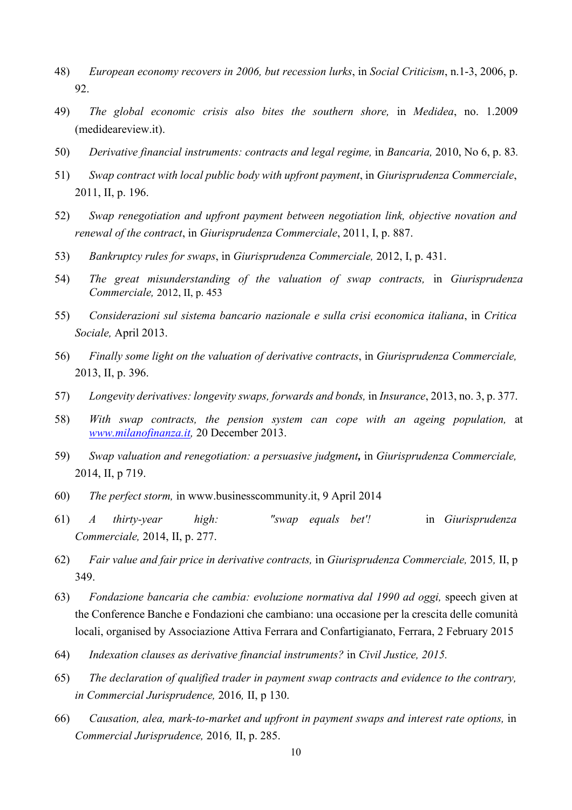- 48) *European economy recovers in 2006, but recession lurks*, in *Social Criticism*, n.1-3, 2006, p. 92.
- 49) *The global economic crisis also bites the southern shore,* in *Medidea*, no. 1.2009 (medideareview.it).
- 50) *Derivative financial instruments: contracts and legal regime,* in *Bancaria,* 2010, No 6, p. 83*.*
- 51) *Swap contract with local public body with upfront payment*, in *Giurisprudenza Commerciale*, 2011, II, p. 196.
- 52) *Swap renegotiation and upfront payment between negotiation link, objective novation and renewal of the contract*, in *Giurisprudenza Commerciale*, 2011, I, p. 887.
- 53) *Bankruptcy rules for swaps*, in *Giurisprudenza Commerciale,* 2012, I, p. 431.
- 54) *The great misunderstanding of the valuation of swap contracts,* in *Giurisprudenza Commerciale,* 2012, II, p. 453
- 55) *Considerazioni sul sistema bancario nazionale e sulla crisi economica italiana*, in *Critica Sociale,* April 2013.
- 56) *Finally some light on the valuation of derivative contracts*, in *Giurisprudenza Commerciale,*  2013, II, p. 396.
- 57) *Longevity derivatives: longevity swaps, forwards and bonds,* in *Insurance*, 2013, no. 3, p. 377.
- 58) *With swap contracts, the pension system can cope with an ageing population,* at *www.milanofinanza.it,* 20 December 2013.
- 59) *Swap valuation and renegotiation: a persuasive judgment,* in *Giurisprudenza Commerciale,*  2014, II, p 719.
- 60) *The perfect storm,* in [www.businesscommunity.it, 9](http://www.businesscommunity.it/) April 2014
- 61) *A thirty-year high: "swap equals bet'!* in *Giurisprudenza Commerciale,* 2014, II, p. 277.
- 62) *Fair value and fair price in derivative contracts,* in *Giurisprudenza Commerciale,* 2015*,* II, p 349.
- 63) *Fondazione bancaria che cambia: evoluzione normativa dal 1990 ad oggi,* speech given at the Conference Banche e Fondazioni che cambiano: una occasione per la crescita delle comunità locali, organised by Associazione Attiva Ferrara and Confartigianato, Ferrara, 2 February 2015
- 64) *Indexation clauses as derivative financial instruments?* in *Civil Justice, 2015.*
- 65) *The declaration of qualified trader in payment swap contracts and evidence to the contrary, in Commercial Jurisprudence,* 2016*,* II, p 130.
- 66) *Causation, alea, mark-to-market and upfront in payment swaps and interest rate options,* in *Commercial Jurisprudence,* 2016*,* II, p. 285.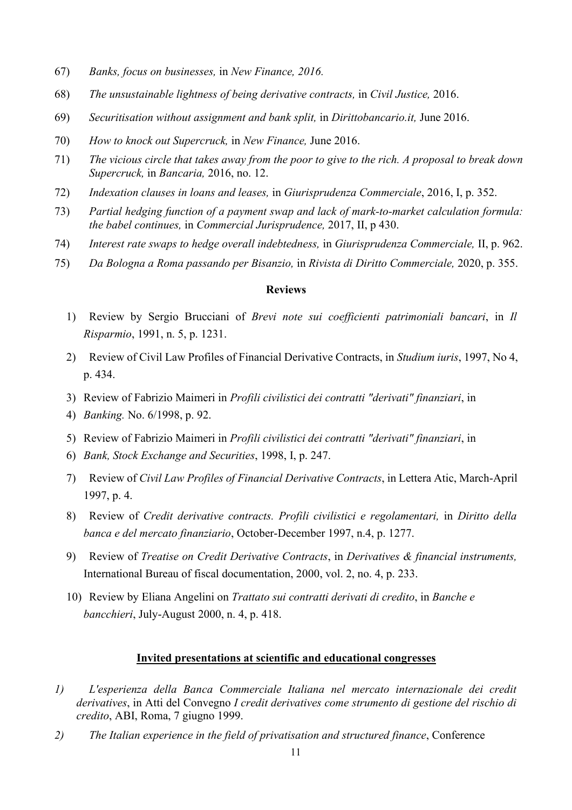- 67) *Banks, focus on businesses,* in *New Finance, 2016.*
- 68) *The unsustainable lightness of being derivative contracts,* in *Civil Justice,* 2016.
- 69) *Securitisation without assignment and bank split,* in *Dirittobancario.it,* June 2016.
- 70) *How to knock out Supercruck,* in *New Finance,* June 2016.
- 71) *The vicious circle that takes away from the poor to give to the rich. A proposal to break down Supercruck,* in *Bancaria,* 2016, no. 12.
- 72) *Indexation clauses in loans and leases,* in *Giurisprudenza Commerciale*, 2016, I, p. 352.
- 73) *Partial hedging function of a payment swap and lack of mark-to-market calculation formula: the babel continues,* in *Commercial Jurisprudence,* 2017, II, p 430.
- 74) *Interest rate swaps to hedge overall indebtedness,* in *Giurisprudenza Commerciale,* II, p. 962.
- 75) *Da Bologna a Roma passando per Bisanzio,* in *Rivista di Diritto Commerciale,* 2020, p. 355.

# **Reviews**

- 1) Review by Sergio Brucciani of *Brevi note sui coefficienti patrimoniali bancari*, in *Il Risparmio*, 1991, n. 5, p. 1231.
- 2) Review of Civil Law Profiles of Financial Derivative Contracts, in *Studium iuris*, 1997, No 4, p. 434.
- 3) Review of Fabrizio Maimeri in *Profili civilistici dei contratti "derivati" finanziari*, in
- 4) *Banking.* No. 6/1998, p. 92.
- 5) Review of Fabrizio Maimeri in *Profili civilistici dei contratti "derivati" finanziari*, in
- 6) *Bank, Stock Exchange and Securities*, 1998, I, p. 247.
- 7) Review of *Civil Law Profiles of Financial Derivative Contracts*, in Lettera Atic, March-April 1997, p. 4.
- 8) Review of *Credit derivative contracts. Profili civilistici e regolamentari,* in *Diritto della banca e del mercato finanziario*, October-December 1997, n.4, p. 1277.
- 9) Review of *Treatise on Credit Derivative Contracts*, in *Derivatives & financial instruments,*  International Bureau of fiscal documentation, 2000, vol. 2, no. 4, p. 233.
- 10) Review by Eliana Angelini on *Trattato sui contratti derivati di credito*, in *Banche e bancchieri*, July-August 2000, n. 4, p. 418.

## **Invited presentations at scientific and educational congresses**

- *1) L'esperienza della Banca Commerciale Italiana nel mercato internazionale dei credit derivatives*, in Atti del Convegno *I credit derivatives come strumento di gestione del rischio di credito*, ABI, Roma, 7 giugno 1999.
- *2) The Italian experience in the field of privatisation and structured finance*, Conference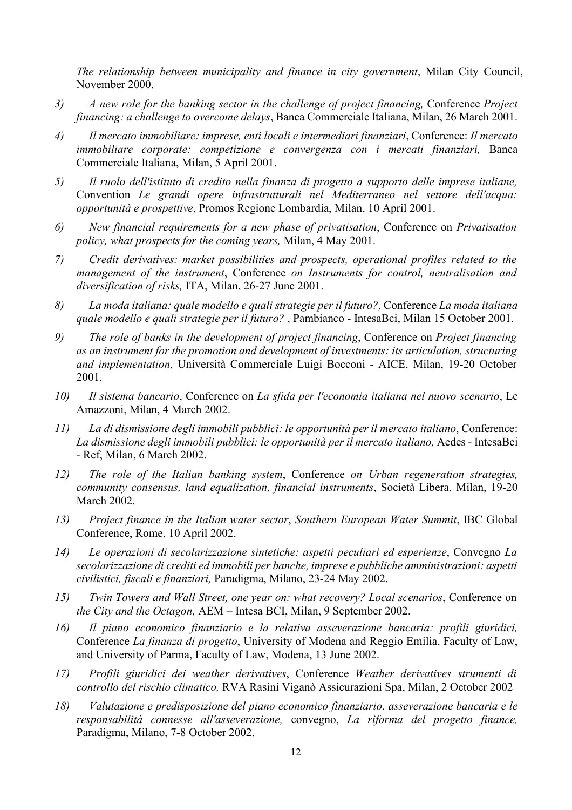*The relationship between municipality and finance in city government*, Milan City Council, November 2000.

- *3) A new role for the banking sector in the challenge of project financing,* Conference *Project financing: a challenge to overcome delays*, Banca Commerciale Italiana, Milan, 26 March 2001.
- *4) Il mercato immobiliare: imprese, enti locali e intermediari finanziari*, Conference: *Il mercato immobiliare corporate: competizione e convergenza con i mercati finanziari,* Banca Commerciale Italiana, Milan, 5 April 2001.
- *5) Il ruolo dell'istituto di credito nella finanza di progetto a supporto delle imprese italiane,*  Convention *Le grandi opere infrastrutturali nel Mediterraneo nel settore dell'acqua: opportunità e prospettive*, Promos Regione Lombardia, Milan, 10 April 2001.
- *6) New financial requirements for a new phase of privatisation*, Conference on *Privatisation policy, what prospects for the coming years,* Milan, 4 May 2001.
- *7) Credit derivatives: market possibilities and prospects, operational profiles related to the management of the instrument*, Conference *on Instruments for control, neutralisation and diversification of risks,* ITA, Milan, 26-27 June 2001.
- *8) La moda italiana: quale modello e quali strategie per il futuro?,* Conference *La moda italiana quale modello e quali strategie per il futuro?* , Pambianco - IntesaBci, Milan 15 October 2001.
- *9) The role of banks in the development of project financing*, Conference on *Project financing as an instrument for the promotion and development of investments: its articulation, structuring and implementation,* Università Commerciale Luigi Bocconi - AICE, Milan, 19-20 October 2001.
- *10) Il sistema bancario*, Conference on *La sfida per l'economia italiana nel nuovo scenario*, Le Amazzoni, Milan, 4 March 2002.
- *11) La di dismissione degli immobili pubblici: le opportunità per il mercato italiano*, Conference: La dismissione degli immobili pubblici: le opportunità per il mercato italiano, Aedes - IntesaBci - Ref, Milan, 6 March 2002.
- *12) The role of the Italian banking system*, Conference *on Urban regeneration strategies, community consensus, land equalization, financial instruments*, Società Libera, Milan, 19-20 March 2002.
- *13) Project finance in the Italian water sector*, *Southern European Water Summit*, IBC Global Conference, Rome, 10 April 2002.
- *14) Le operazioni di secolarizzazione sintetiche: aspetti peculiari ed esperienze*, Convegno *La secolarizzazione di crediti ed immobili per banche, imprese e pubbliche amministrazioni: aspetti civilistici, fiscali e finanziari,* Paradigma, Milano, 23-24 May 2002.
- *15) Twin Towers and Wall Street, one year on: what recovery? Local scenarios*, Conference on *the City and the Octagon,* AEM – Intesa BCI, Milan, 9 September 2002.
- *16) Il piano economico finanziario e la relativa asseverazione bancaria: profili giuridici,*  Conference *La finanza di progetto*, University of Modena and Reggio Emilia, Faculty of Law, and University of Parma, Faculty of Law, Modena, 13 June 2002.
- *17) Profili giuridici dei weather derivatives*, Conference *Weather derivatives strumenti di controllo del rischio climatico,* RVA Rasini Viganò Assicurazioni Spa, Milan, 2 October 2002
- *18) Valutazione e predisposizione del piano economico finanziario, asseverazione bancaria e le responsabilità connesse all'asseverazione,* convegno, *La riforma del progetto finance,*  Paradigma, Milano, 7-8 October 2002.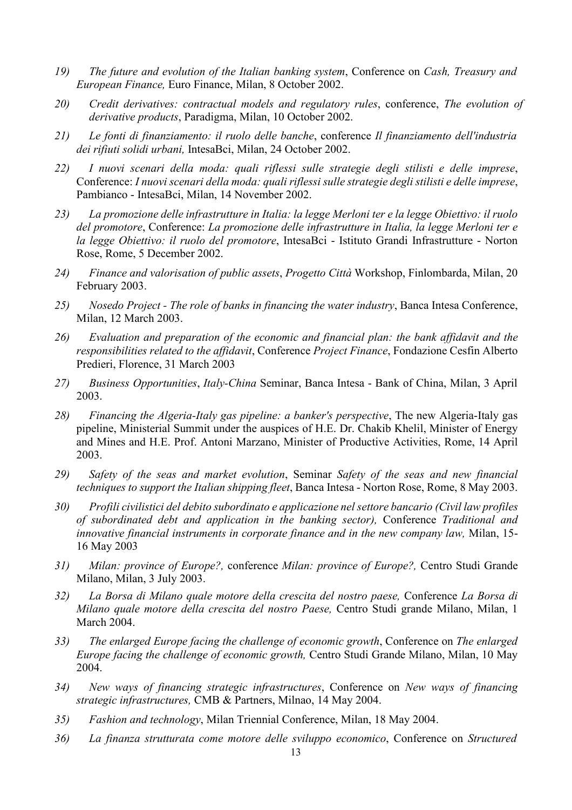- *19) The future and evolution of the Italian banking system*, Conference on *Cash, Treasury and European Finance,* Euro Finance, Milan, 8 October 2002.
- *20) Credit derivatives: contractual models and regulatory rules*, conference, *The evolution of derivative products*, Paradigma, Milan, 10 October 2002.
- *21) Le fonti di finanziamento: il ruolo delle banche*, conference *Il finanziamento dell'industria dei rifiuti solidi urbani,* IntesaBci, Milan, 24 October 2002.
- *22) I nuovi scenari della moda: quali riflessi sulle strategie degli stilisti e delle imprese*, Conference: *I nuovi scenari della moda: quali riflessi sulle strategie degli stilisti e delle imprese*, Pambianco - IntesaBci, Milan, 14 November 2002.
- *23) La promozione delle infrastrutture in Italia: la legge Merloni ter e la legge Obiettivo: il ruolo del promotore*, Conference: *La promozione delle infrastrutture in Italia, la legge Merloni ter e la legge Obiettivo: il ruolo del promotore*, IntesaBci - Istituto Grandi Infrastrutture - Norton Rose, Rome, 5 December 2002.
- *24) Finance and valorisation of public assets*, *Progetto Città* Workshop, Finlombarda, Milan, 20 February 2003.
- *25) Nosedo Project - The role of banks in financing the water industry*, Banca Intesa Conference, Milan, 12 March 2003.
- *26) Evaluation and preparation of the economic and financial plan: the bank affidavit and the responsibilities related to the affidavit*, Conference *Project Finance*, Fondazione Cesfin Alberto Predieri, Florence, 31 March 2003
- *27) Business Opportunities*, *Italy-China* Seminar, Banca Intesa Bank of China, Milan, 3 April 2003.
- *28) Financing the Algeria-Italy gas pipeline: a banker's perspective*, The new Algeria-Italy gas pipeline, Ministerial Summit under the auspices of H.E. Dr. Chakib Khelil, Minister of Energy and Mines and H.E. Prof. Antoni Marzano, Minister of Productive Activities, Rome, 14 April 2003.
- *29) Safety of the seas and market evolution*, Seminar *Safety of the seas and new financial techniques to support the Italian shipping fleet*, Banca Intesa - Norton Rose, Rome, 8 May 2003.
- *30) Profili civilistici del debito subordinato e applicazione nel settore bancario (Civil law profiles of subordinated debt and application in the banking sector),* Conference *Traditional and innovative financial instruments in corporate finance and in the new company law,* Milan, 15- 16 May 2003
- *31) Milan: province of Europe?,* conference *Milan: province of Europe?,* Centro Studi Grande Milano, Milan, 3 July 2003.
- *32) La Borsa di Milano quale motore della crescita del nostro paese,* Conference *La Borsa di Milano quale motore della crescita del nostro Paese,* Centro Studi grande Milano, Milan, 1 March 2004.
- *33) The enlarged Europe facing the challenge of economic growth*, Conference on *The enlarged Europe facing the challenge of economic growth,* Centro Studi Grande Milano, Milan, 10 May 2004.
- *34) New ways of financing strategic infrastructures*, Conference on *New ways of financing strategic infrastructures,* CMB & Partners, Milnao, 14 May 2004.
- *35) Fashion and technology*, Milan Triennial Conference, Milan, 18 May 2004.
- *36) La finanza strutturata come motore delle sviluppo economico*, Conference on *Structured*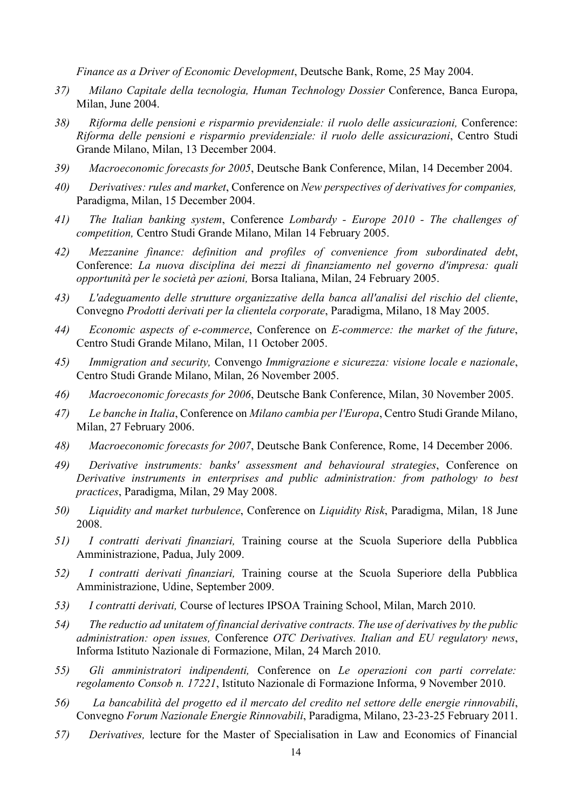*Finance as a Driver of Economic Development*, Deutsche Bank, Rome, 25 May 2004.

- *37) Milano Capitale della tecnologia, Human Technology Dossier* Conference, Banca Europa, Milan, June 2004.
- *38) Riforma delle pensioni e risparmio previdenziale: il ruolo delle assicurazioni,* Conference: *Riforma delle pensioni e risparmio previdenziale: il ruolo delle assicurazioni*, Centro Studi Grande Milano, Milan, 13 December 2004.
- *39) Macroeconomic forecasts for 2005*, Deutsche Bank Conference, Milan, 14 December 2004.
- *40) Derivatives: rules and market*, Conference on *New perspectives of derivatives for companies,*  Paradigma, Milan, 15 December 2004.
- *41) The Italian banking system*, Conference *Lombardy - Europe 2010 - The challenges of competition,* Centro Studi Grande Milano, Milan 14 February 2005.
- *42) Mezzanine finance: definition and profiles of convenience from subordinated debt*, Conference: *La nuova disciplina dei mezzi di finanziamento nel governo d'impresa: quali opportunità per le società per azioni,* Borsa Italiana, Milan, 24 February 2005.
- *43) L'adeguamento delle strutture organizzative della banca all'analisi del rischio del cliente*, Convegno *Prodotti derivati per la clientela corporate*, Paradigma, Milano, 18 May 2005.
- *44) Economic aspects of e-commerce*, Conference on *E-commerce: the market of the future*, Centro Studi Grande Milano, Milan, 11 October 2005.
- *45) Immigration and security,* Convengo *Immigrazione e sicurezza: visione locale e nazionale*, Centro Studi Grande Milano, Milan, 26 November 2005.
- *46) Macroeconomic forecasts for 2006*, Deutsche Bank Conference, Milan, 30 November 2005.
- *47) Le banche in Italia*, Conference on *Milano cambia per l'Europa*, Centro Studi Grande Milano, Milan, 27 February 2006.
- *48) Macroeconomic forecasts for 2007*, Deutsche Bank Conference, Rome, 14 December 2006.
- *49) Derivative instruments: banks' assessment and behavioural strategies*, Conference on *Derivative instruments in enterprises and public administration: from pathology to best practices*, Paradigma, Milan, 29 May 2008.
- *50) Liquidity and market turbulence*, Conference on *Liquidity Risk*, Paradigma, Milan, 18 June 2008.
- *51) I contratti derivati finanziari,* Training course at the Scuola Superiore della Pubblica Amministrazione, Padua, July 2009.
- *52) I contratti derivati finanziari,* Training course at the Scuola Superiore della Pubblica Amministrazione, Udine, September 2009.
- *53) I contratti derivati,* Course of lectures IPSOA Training School, Milan, March 2010.
- *54) The reductio ad unitatem of financial derivative contracts. The use of derivatives by the public administration: open issues,* Conference *OTC Derivatives. Italian and EU regulatory news*, Informa Istituto Nazionale di Formazione, Milan, 24 March 2010.
- *55) Gli amministratori indipendenti,* Conference on *Le operazioni con parti correlate: regolamento Consob n. 17221*, Istituto Nazionale di Formazione Informa, 9 November 2010.
- *56) La bancabilità del progetto ed il mercato del credito nel settore delle energie rinnovabili*, Convegno *Forum Nazionale Energie Rinnovabili*, Paradigma, Milano, 23-23-25 February 2011.
- *57) Derivatives,* lecture for the Master of Specialisation in Law and Economics of Financial